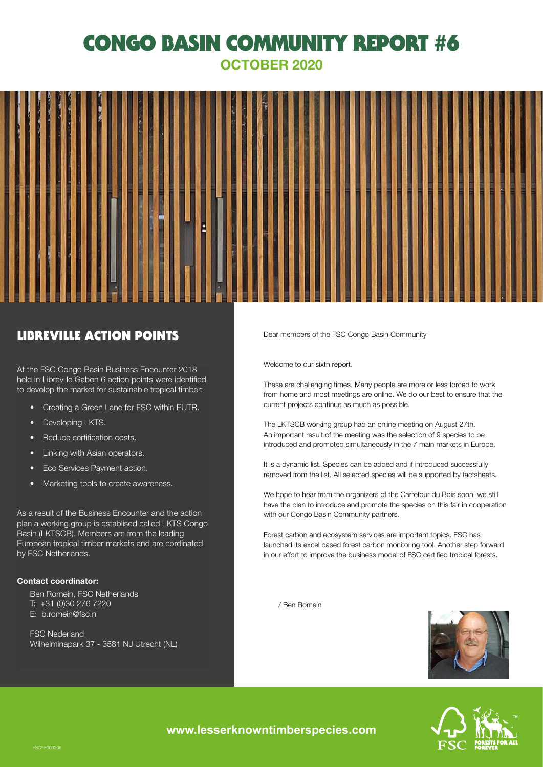

## LIBREVILLE ACTION POINTS

At the FSC Congo Basin Business Encounter 2018 held in Libreville Gabon 6 action points were identified to devolop the market for sustainable tropical timber:

- Creating a Green Lane for FSC within EUTR.
- Developing LKTS.
- Reduce certification costs.
- Linking with Asian operators.
- Eco Services Payment action.
- Marketing tools to create awareness.

As a result of the Business Encounter and the action plan a working group is establised called LKTS Congo Basin (LKTSCB). Members are from the leading European tropical timber markets and are cordinated by FSC Netherlands.

### Contact coordinator:

Ben Romein, FSC Netherlands T: +31 (0)30 276 7220 E: b.romein@fsc.nl

FSC Nederland Wilhelminapark 37 - 3581 NJ Utrecht (NL) Dear members of the FSC Congo Basin Community

Welcome to our sixth report.

These are challenging times. Many people are more or less forced to work from home and most meetings are online. We do our best to ensure that the current projects continue as much as possible.

The LKTSCB working group had an online meeting on August 27th. An important result of the meeting was the selection of 9 species to be introduced and promoted simultaneously in the 7 main markets in Europe.

It is a dynamic list. Species can be added and if introduced successfully removed from the list. All selected species will be supported by factsheets.

We hope to hear from the organizers of the Carrefour du Bois soon, we still have the plan to introduce and promote the species on this fair in cooperation with our Congo Basin Community partners.

Forest carbon and ecosystem services are important topics. FSC has launched its excel based forest carbon monitoring tool. Another step forward in our effort to improve the business model of FSC certified tropical forests.

/ Ben Romein



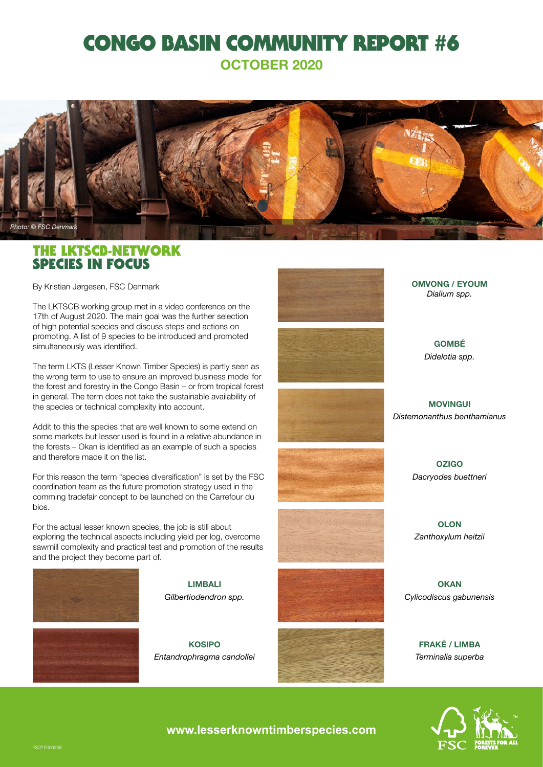

## THE LKTSCB-NETWORK SPECIES IN FOCUS

By Kristian Jørgesen, FSC Denmark

The LKTSCB working group met in a video conference on the 17th of August 2020. The main goal was the further selection of high potential species and discuss steps and actions on promoting. A list of 9 species to be introduced and promoted simultaneously was identified.

The term LKTS (Lesser Known Timber Species) is partly seen as the wrong term to use to ensure an improved business model for the forest and forestry in the Congo Basin – or from tropical forest in general. The term does not take the sustainable availability of the species or technical complexity into account.

Addit to this the species that are well known to some extend on some markets but lesser used is found in a relative abundance in the forests – Okan is identified as an example of such a species and therefore made it on the list.

For this reason the term "species diversification" is set by the FSC coordination team as the future promotion strategy used in the comming tradefair concept to be launched on the Carrefour du bios.

For the actual lesser known species, the job is still about exploring the technical aspects including yield per log, overcome sawmill complexity and practical test and promotion of the results and the project they become part of.





LIMBALI *Gilbertiodendron spp.*

**KOSIPO** *Entandrophragma candollei*

















GOMBÉ *Didelotia spp.*

MOVINGUI *Distemonanthus benthamianus*

> OZIGO *Dacryodes buettneri*

**OLON** *Zanthoxylum heitzii*

**OKAN** *Cylicodiscus gabunensis*

> FRAKÉ / LIMBA *Terminalia superba*

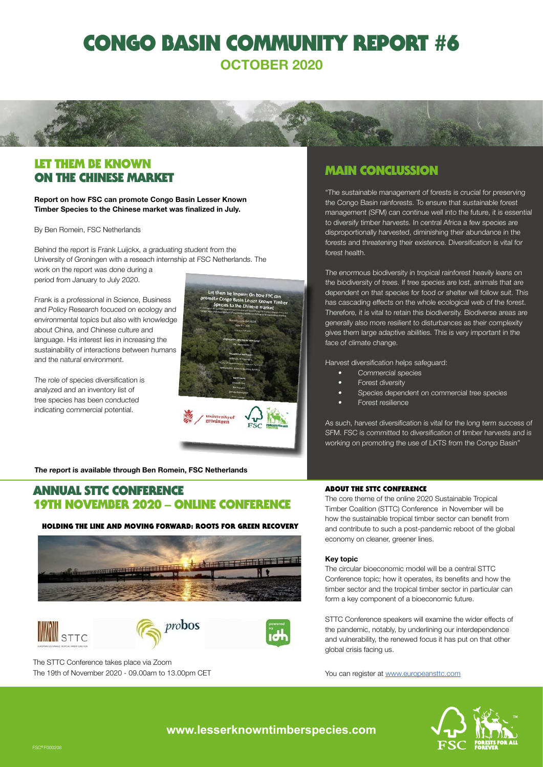

## LET THEM BE KNOWN ON THE CHINESE MARKET

#### Report on how FSC can promote Congo Basin Lesser Known Timber Species to the Chinese market was finalized in July.

By Ben Romein, FSC Netherlands

Behind the report is Frank Luijckx, a graduating student from the University of Groningen with a reseach internship at FSC Netherlands. The work on the report was done during a period from January to July 2020.

Frank is a professional in Science, Business and Policy Research focuced on ecology and environmental topics but also with knowledge about China, and Chinese culture and language. His interest lies in increasing the sustainability of interactions between humans and the natural environment.

The role of species diversification is analyzed and an inventory list of tree species has been conducted indicating commercial potential.



## MAIN CONCLUSSION

"The sustainable management of forests is crucial for preserving the Congo Basin rainforests. To ensure that sustainable forest management (SFM) can continue well into the future, it is essential to diversify timber harvests. In central Africa a few species are disproportionally harvested, diminishing their abundance in the forests and threatening their existence. Diversification is vital for forest health.

The enormous biodiversity in tropical rainforest heavily leans on the biodiversity of trees. If tree species are lost, animals that are dependent on that species for food or shelter will follow suit. This has cascading effects on the whole ecological web of the forest. Therefore, it is vital to retain this biodiversity. Biodiverse areas are generally also more resilient to disturbances as their complexity gives them large adaptive abilities. This is very important in the face of climate change.

Harvest diversification helps safeguard:

- r., Commercial species
- •Forest diversity
- •Species dependent on commercial tree species
- r., Forest resilience

As such, harvest diversification is vital for the long term success of SFM. FSC is committed to diversification of timber harvests and is working on promoting the use of LKTS from the Congo Basin"

The report is available through Ben Romein, FSC Netherlands

### ANNUAL STTC CONFERENCE 19TH NOVEMBER 2020 – ONLINE CONFERENCE

#### HOLDING THE LINE AND MOVING FORWARD: ROOTS FOR GREEN RECOVERY









#### ABOUT THE STTC CONFERENCE

The core theme of the online 2020 Sustainable Tropical Timber Coalition (STTC) Conference in November will be how the sustainable tropical timber sector can benefit from and contribute to such a post-pandemic reboot of the global economy on cleaner, greener lines.

#### Key topic

The circular bioeconomic model will be a central STTC Conference topic; how it operates, its benefits and how the timber sector and the tropical timber sector in particular can form a key component of a bioeconomic future.

STTC Conference speakers will examine the wider effects of the pandemic, notably, by underlining our interdependence and vulnerability, the renewed focus it has put on that other global crisis facing us.

You can register at [www.europeansttc.com](http://www.europeansttc.com/19-november-2020-online-conference-holding-the-line/#tab-id-1)

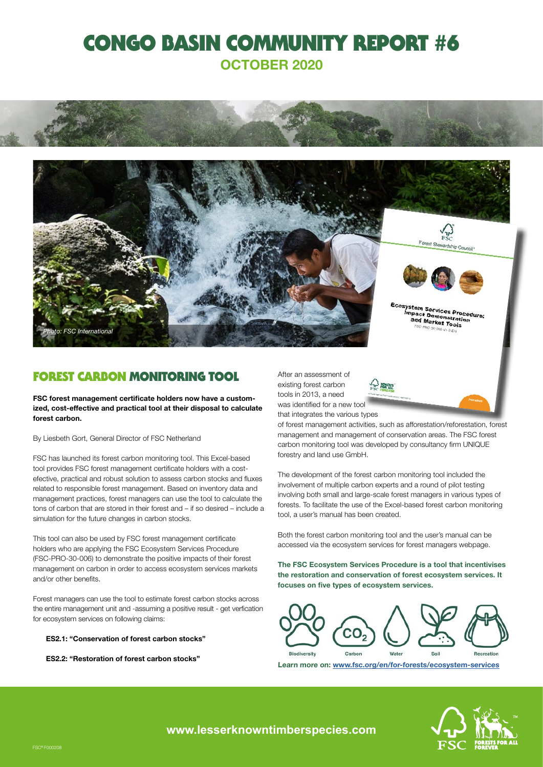



### FOREST CARBON MONITORING TOOL

FSC forest management certificate holders now have a customized, cost-effective and practical tool at their disposal to calculate forest carbon.

By Liesbeth Gort, General Director of FSC Netherland

FSC has launched its forest carbon monitoring tool. This Excel-based tool provides FSC forest management certificate holders with a costefective, practical and robust solution to assess carbon stocks and fluxes related to responsible forest management. Based on inventory data and management practices, forest managers can use the tool to calculate the tons of carbon that are stored in their forest and – if so desired – include a simulation for the future changes in carbon stocks.

This tool can also be used by FSC forest management certificate holders who are applying the FSC Ecosystem Services Procedure (FSC-PRO-30-006) to demonstrate the positive impacts of their forest management on carbon in order to access ecosystem services markets and/or other benefits.

Forest managers can use the tool to estimate forest carbon stocks across the entire management unit and -assuming a positive result - get verfication for ecosystem services on following claims:

ES2.1: "Conservation of forest carbon stocks"

ES2.2: "Restoration of forest carbon stocks"

After an assessment of existing forest carbon tools in 2013, a need was identified for a new tool that integrates the various types



of forest management activities, such as afforestation/reforestation, forest management and management of conservation areas. The FSC forest carbon monitoring tool was developed by consultancy firm UNIQUE forestry and land use GmbH.

The development of the forest carbon monitoring tool included the involvement of multiple carbon experts and a round of pilot testing involving both small and large-scale forest managers in various types of forests. To facilitate the use of the Excel-based forest carbon monitoring tool, a user's manual has been created.

Both the forest carbon monitoring tool and the user's manual can be accessed via the ecosystem services for forest managers webpage.

The FSC Ecosystem Services Procedure is a tool that incentivises the restoration and conservation of forest ecosystem services. It focuses on five types of ecosystem services.



Learn more on: [www.fsc.org/en/for-forests/ecosystem-services](http://www.fsc.org/en/for-forests/ecosystem-services)